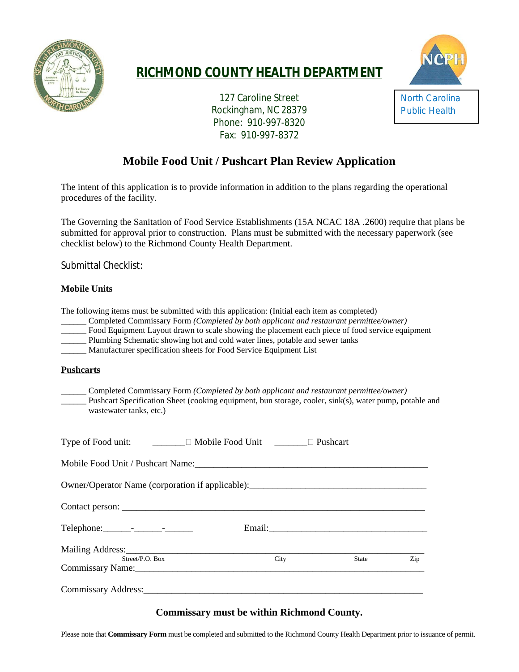

## **RICHMOND COUNTY HEALTH DEPARTMENT**





# **Mobile Food Unit / Pushcart Plan Review Application**

The intent of this application is to provide information in addition to the plans regarding the operational procedures of the facility.

The Governing the Sanitation of Food Service Establishments (15A NCAC 18A .2600) require that plans be submitted for approval prior to construction. Plans must be submitted with the necessary paperwork (see checklist below) to the Richmond County Health Department.

Submittal Checklist:

### **Mobile Units**

The following items must be submitted with this application: (Initial each item as completed)

- \_\_\_\_\_\_ Completed Commissary Form *(Completed by both applicant and restaurant permittee/owner)*
- Food Equipment Layout drawn to scale showing the placement each piece of food service equipment
- Plumbing Schematic showing hot and cold water lines, potable and sewer tanks
- \_\_\_\_\_\_ Manufacturer specification sheets for Food Service Equipment List

#### **Pushcarts**

\_\_\_\_\_\_ Completed Commissary Form *(Completed by both applicant and restaurant permittee/owner)* Pushcart Specification Sheet (cooking equipment, bun storage, cooler, sink(s), water pump, potable and wastewater tanks, etc.)

| Type of Food unit: <u>______</u> Mobile Food Unit _______ □ Pushcart             |  |      |       |     |
|----------------------------------------------------------------------------------|--|------|-------|-----|
|                                                                                  |  |      |       |     |
| Owner/Operator Name (corporation if applicable): _______________________________ |  |      |       |     |
|                                                                                  |  |      |       |     |
|                                                                                  |  |      |       |     |
| Mailing Address:<br>Street/P.O. Box                                              |  | City | State | Zip |
| Commissary Name: Name:                                                           |  |      |       |     |
| Commissary Address: No. 1996. The Commissary Address:                            |  |      |       |     |

## **Commissary must be within Richmond County.**

Please note that **Commissary Form** must be completed and submitted to the Richmond County Health Department prior to issuance of permit.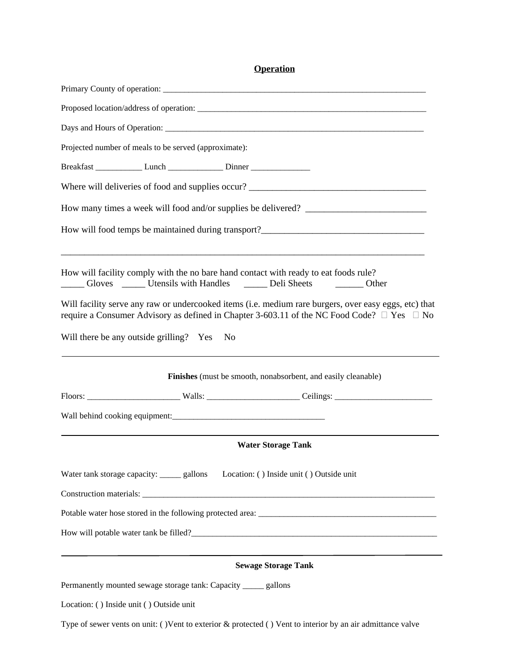**Operation**

| Proposed location/address of operation:                                                                                                                             |      |                                                               |                                                                                                                                                                                                               |  |
|---------------------------------------------------------------------------------------------------------------------------------------------------------------------|------|---------------------------------------------------------------|---------------------------------------------------------------------------------------------------------------------------------------------------------------------------------------------------------------|--|
|                                                                                                                                                                     |      |                                                               |                                                                                                                                                                                                               |  |
| Projected number of meals to be served (approximate):                                                                                                               |      |                                                               |                                                                                                                                                                                                               |  |
| Breakfast ________________ Lunch ___________________ Dinner ____________________                                                                                    |      |                                                               |                                                                                                                                                                                                               |  |
|                                                                                                                                                                     |      |                                                               |                                                                                                                                                                                                               |  |
|                                                                                                                                                                     |      |                                                               | How many times a week will food and/or supplies be delivered?                                                                                                                                                 |  |
|                                                                                                                                                                     |      |                                                               | How will food temps be maintained during transport?______________________________                                                                                                                             |  |
| How will facility comply with the no bare hand contact with ready to eat foods rule?<br>Gloves _______ Utensils with Handles _________ Deli Sheets __________ Other |      |                                                               |                                                                                                                                                                                                               |  |
|                                                                                                                                                                     |      |                                                               | Will facility serve any raw or undercooked items (i.e. medium rare burgers, over easy eggs, etc) that<br>require a Consumer Advisory as defined in Chapter 3-603.11 of the NC Food Code? $\Box$ Yes $\Box$ No |  |
| Will there be any outside grilling? Yes                                                                                                                             | - No |                                                               |                                                                                                                                                                                                               |  |
|                                                                                                                                                                     |      | Finishes (must be smooth, nonabsorbent, and easily cleanable) |                                                                                                                                                                                                               |  |
|                                                                                                                                                                     |      |                                                               |                                                                                                                                                                                                               |  |
|                                                                                                                                                                     |      |                                                               |                                                                                                                                                                                                               |  |
|                                                                                                                                                                     |      | <b>Water Storage Tank</b>                                     |                                                                                                                                                                                                               |  |
| Water tank storage capacity: _____ gallons                                                                                                                          |      | Location: () Inside unit () Outside unit                      |                                                                                                                                                                                                               |  |
|                                                                                                                                                                     |      |                                                               |                                                                                                                                                                                                               |  |
|                                                                                                                                                                     |      |                                                               |                                                                                                                                                                                                               |  |
|                                                                                                                                                                     |      |                                                               |                                                                                                                                                                                                               |  |
|                                                                                                                                                                     |      | <b>Sewage Storage Tank</b>                                    |                                                                                                                                                                                                               |  |
| Permanently mounted sewage storage tank: Capacity _____ gallons                                                                                                     |      |                                                               |                                                                                                                                                                                                               |  |
| Location: () Inside unit () Outside unit                                                                                                                            |      |                                                               |                                                                                                                                                                                                               |  |
|                                                                                                                                                                     |      |                                                               | Type of sewer vents on unit: ()Vent to exterior $\&$ protected () Vent to interior by an air admittance valve                                                                                                 |  |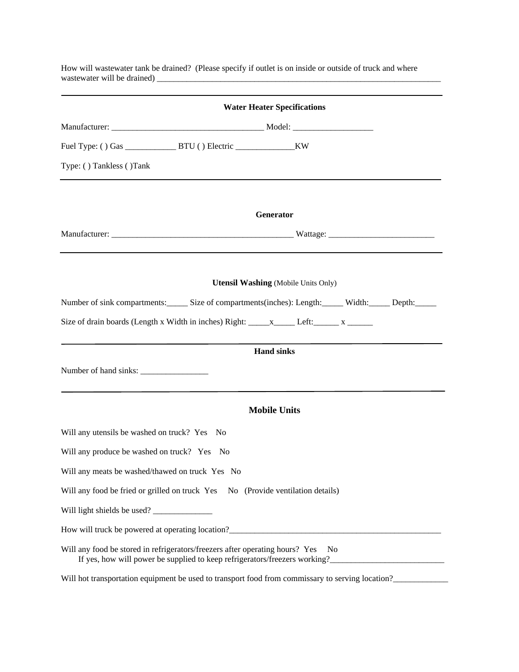| <b>Water Heater Specifications</b>                                                                                                                                           |
|------------------------------------------------------------------------------------------------------------------------------------------------------------------------------|
|                                                                                                                                                                              |
|                                                                                                                                                                              |
| Type: () Tankless () Tank                                                                                                                                                    |
| Generator                                                                                                                                                                    |
|                                                                                                                                                                              |
|                                                                                                                                                                              |
| <b>Utensil Washing (Mobile Units Only)</b>                                                                                                                                   |
| Number of sink compartments: Size of compartments(inches): Length: Width: Depth: Depth:                                                                                      |
|                                                                                                                                                                              |
| <b>Hand sinks</b>                                                                                                                                                            |
|                                                                                                                                                                              |
| <b>Mobile Units</b>                                                                                                                                                          |
| Will any utensils be washed on truck? Yes No                                                                                                                                 |
| Will any produce be washed on truck? Yes No                                                                                                                                  |
| Will any meats be washed/thawed on truck Yes No                                                                                                                              |
| Will any food be fried or grilled on truck Yes No (Provide ventilation details)                                                                                              |
|                                                                                                                                                                              |
| How will truck be powered at operating location?<br><u>Letter and the contract of the powered at operating location?</u>                                                     |
| Will any food be stored in refrigerators/freezers after operating hours? Yes<br>N <sub>o</sub><br>If yes, how will power be supplied to keep refrigerators/freezers working? |
| Will hot transportation equipment be used to transport food from commissary to serving location?                                                                             |

How will wastewater tank be drained? (Please specify if outlet is on inside or outside of truck and where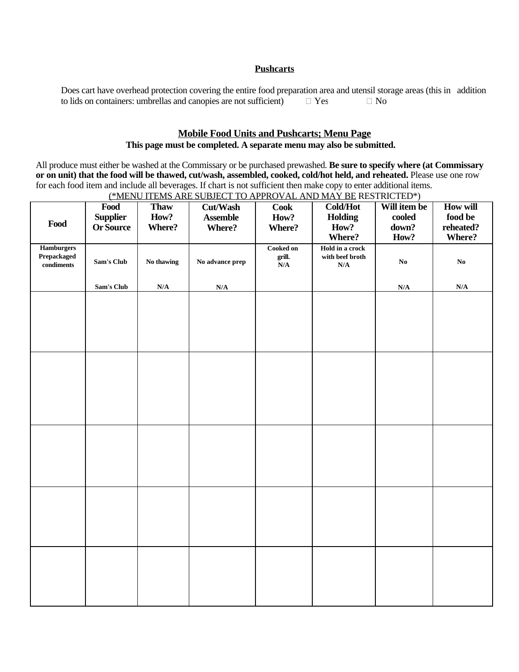#### **Pushcarts**

Does cart have overhead protection covering the entire food preparation area and utensil storage areas (this in addition to lids on containers: umbrellas and canonies are not sufficient)  $\Box$  Yes  $\Box$  No to lids on containers: umbrellas and canopies are not sufficient)  $\Box$  Yes  $\Box$  No

### **Mobile Food Units and Pushcarts; Menu Page This page must be completed. A separate menu may also be submitted.**

All produce must either be washed at the Commissary or be purchased prewashed. **Be sure to specify where (at Commissary** or on unit) that the food will be thawed, cut/wash, assembled, cooked, cold/hot held, and reheated. Please use one row for each food item and include all beverages. If chart is not sufficient then make copy to enter additional items.

| Food                                           | Food<br><b>Supplier</b><br><b>Or Source</b> | <b>Thaw</b><br>How?<br>Where? | <b>Cut/Wash</b><br><b>Assemble</b><br>Where? | $\overline{\text{Cook}}$<br>How?<br>Where?                | Cold/Hot<br><b>Holding</b><br>How?                                      | Will item be<br>cooled<br>down? | How will<br>$\boldsymbol{\hbox{food}}$ be<br>reheated? |
|------------------------------------------------|---------------------------------------------|-------------------------------|----------------------------------------------|-----------------------------------------------------------|-------------------------------------------------------------------------|---------------------------------|--------------------------------------------------------|
| <b>Hamburgers</b><br>Prepackaged<br>conditions | Sam's Club                                  | No thawing                    | No advance prep                              | Cooked on<br>grill.<br>$\overline{\mathbf{N}}/\mathbf{A}$ | Where?<br>Hold in a crock<br>with beef broth<br>$\mathbf{N}/\mathbf{A}$ | How?<br>$\mathbf{No}$           | Where?<br>$\mathbf{No}$                                |
|                                                | Sam's Club                                  | $\mathbf{N}/\mathbf{A}$       | N/A                                          |                                                           |                                                                         | N/A                             | $\mathbf{N}/\mathbf{A}$                                |
|                                                |                                             |                               |                                              |                                                           |                                                                         |                                 |                                                        |
|                                                |                                             |                               |                                              |                                                           |                                                                         |                                 |                                                        |
|                                                |                                             |                               |                                              |                                                           |                                                                         |                                 |                                                        |
|                                                |                                             |                               |                                              |                                                           |                                                                         |                                 |                                                        |
|                                                |                                             |                               |                                              |                                                           |                                                                         |                                 |                                                        |

(\*MENU ITEMS ARE SUBJECT TO APPROVAL AND MAY BE RESTRICTED\*)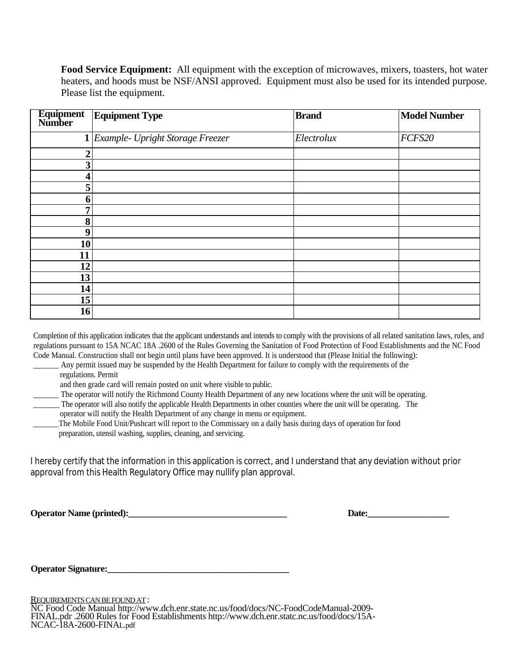**Food Service Equipment:** All equipment with the exception of microwaves, mixers, toasters, hot water heaters, and hoods must be NSF/ANSI approved. Equipment must also be used for its intended purpose. Please list the equipment.

| Equipment<br>Number | <b>Equipment Type</b>                | <b>Brand</b> | <b>Model Number</b> |
|---------------------|--------------------------------------|--------------|---------------------|
|                     | $1$ Example- Upright Storage Freezer | Electrolux   | FCFS20              |
| ↑                   |                                      |              |                     |
| 3                   |                                      |              |                     |
|                     |                                      |              |                     |
| 5                   |                                      |              |                     |
| o                   |                                      |              |                     |
| 7                   |                                      |              |                     |
| 8                   |                                      |              |                     |
| 9                   |                                      |              |                     |
| 10                  |                                      |              |                     |
| 11                  |                                      |              |                     |
| 12                  |                                      |              |                     |
| 13                  |                                      |              |                     |
| 14                  |                                      |              |                     |
| 15 <sup>1</sup>     |                                      |              |                     |
| 16                  |                                      |              |                     |

Completion of this application indicates that the applicant understands and intends to comply with the provisions of all related sanitation laws, rules, and regulations pursuant to 15A NCAC 18A .2600 of the Rules Governing the Sanitation of Food Protection of Food Establishments and the NC Food Code Manual. Construction shall not begin until plans have been approved. It is understood that (Please Initial the following):

- Any permit issued may be suspended by the Health Department for failure to comply with the requirements of the regulations. Permit
	- and then grade card will remain posted on unit where visible to public.
- The operator will notify the Richmond County Health Department of any new locations where the unit will be operating.
- \_\_\_\_\_\_\_ The operator will also notify the applicable Health Departments in other counties where the unit will be operating. The
- operator will notify the Health Department of any change in menu or equipment.
- \_\_\_\_\_\_The Mobile Food Unit/Pushcart will report to the Commissary on a daily basis during days of operation for food preparation, utensil washing, supplies, cleaning, and servicing.

I hereby certify that the information in this application is correct, and I understand that any deviation without prior approval from this Health Regulatory Office may nullify plan approval.

**Operator Name (printed):\_\_\_\_\_\_\_\_\_\_\_\_\_\_\_\_\_\_\_\_\_\_\_\_\_\_\_\_\_\_\_\_\_\_ Date:\_\_\_\_\_\_\_\_\_\_\_\_\_\_\_\_\_\_\_**

**Operator Signature:** 

REQUIREMENTSCANBEFOUNDAT: NC Food Code Manual http://www.dch.enr.state.nc.us/food/docs/NC-FoodCodeManual-2009- FINAL.pdr .2600 Rules for Food Establishments http://www.dch.enr.statc.nc.us/food/docs/15A-NCAC-18A-2600-FINAL.pdf